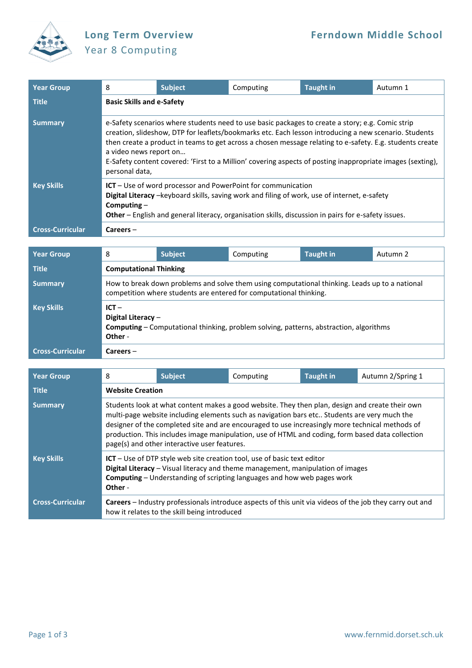

## Year 8 Computing

| Year Group              | 8                                                                                                                                                                                                                                                                                                                                                                                                                                                                               | <b>Subject</b>                                                                                                                                                                                                                                                             | Computing | <b>Taught in</b> | Autumn 1 |  |  |
|-------------------------|---------------------------------------------------------------------------------------------------------------------------------------------------------------------------------------------------------------------------------------------------------------------------------------------------------------------------------------------------------------------------------------------------------------------------------------------------------------------------------|----------------------------------------------------------------------------------------------------------------------------------------------------------------------------------------------------------------------------------------------------------------------------|-----------|------------------|----------|--|--|
| <b>Title</b>            | <b>Basic Skills and e-Safety</b>                                                                                                                                                                                                                                                                                                                                                                                                                                                |                                                                                                                                                                                                                                                                            |           |                  |          |  |  |
| <b>Summary</b>          | e-Safety scenarios where students need to use basic packages to create a story; e.g. Comic strip<br>creation, slideshow, DTP for leaflets/bookmarks etc. Each lesson introducing a new scenario. Students<br>then create a product in teams to get across a chosen message relating to e-safety. E.g. students create<br>a video news report on<br>E-Safety content covered: 'First to a Million' covering aspects of posting inappropriate images (sexting),<br>personal data, |                                                                                                                                                                                                                                                                            |           |                  |          |  |  |
| <b>Key Skills</b>       | Computing $-$                                                                                                                                                                                                                                                                                                                                                                                                                                                                   | ICT - Use of word processor and PowerPoint for communication<br>Digital Literacy -keyboard skills, saving work and filing of work, use of internet, e-safety<br><b>Other</b> – English and general literacy, organisation skills, discussion in pairs for e-safety issues. |           |                  |          |  |  |
| <b>Cross-Curricular</b> | $Careers -$                                                                                                                                                                                                                                                                                                                                                                                                                                                                     |                                                                                                                                                                                                                                                                            |           |                  |          |  |  |

| <b>Year Group</b>       | 8                                                                                                                                                                    | <b>Subject</b>                | Computing | <b>Taught in</b> | Autumn 2 |  |  |
|-------------------------|----------------------------------------------------------------------------------------------------------------------------------------------------------------------|-------------------------------|-----------|------------------|----------|--|--|
| Title                   |                                                                                                                                                                      | <b>Computational Thinking</b> |           |                  |          |  |  |
| <b>Summary</b>          | How to break down problems and solve them using computational thinking. Leads up to a national<br>competition where students are entered for computational thinking. |                               |           |                  |          |  |  |
| <b>Key Skills</b>       | $ICT -$<br>Digital Literacy $-$<br><b>Computing</b> – Computational thinking, problem solving, patterns, abstraction, algorithms<br>Other -                          |                               |           |                  |          |  |  |
| <b>Cross-Curricular</b> | $Careers -$                                                                                                                                                          |                               |           |                  |          |  |  |

| <b>Year Group</b>       | 8                                                                                                                                                                                                                                                                                                                                                                                                                                                      | <b>Subject</b>                               | Computing | <b>Taught in</b> | Autumn 2/Spring 1                                                                                        |  |  |
|-------------------------|--------------------------------------------------------------------------------------------------------------------------------------------------------------------------------------------------------------------------------------------------------------------------------------------------------------------------------------------------------------------------------------------------------------------------------------------------------|----------------------------------------------|-----------|------------------|----------------------------------------------------------------------------------------------------------|--|--|
| <b>Title</b>            | <b>Website Creation</b>                                                                                                                                                                                                                                                                                                                                                                                                                                |                                              |           |                  |                                                                                                          |  |  |
| <b>Summary</b>          | Students look at what content makes a good website. They then plan, design and create their own<br>multi-page website including elements such as navigation bars etc Students are very much the<br>designer of the completed site and are encouraged to use increasingly more technical methods of<br>production. This includes image manipulation, use of HTML and coding, form based data collection<br>page(s) and other interactive user features. |                                              |           |                  |                                                                                                          |  |  |
| <b>Key Skills</b>       | ICT - Use of DTP style web site creation tool, use of basic text editor<br>Digital Literacy - Visual literacy and theme management, manipulation of images<br><b>Computing</b> – Understanding of scripting languages and how web pages work<br>Other -                                                                                                                                                                                                |                                              |           |                  |                                                                                                          |  |  |
| <b>Cross-Curricular</b> |                                                                                                                                                                                                                                                                                                                                                                                                                                                        | how it relates to the skill being introduced |           |                  | Careers - Industry professionals introduce aspects of this unit via videos of the job they carry out and |  |  |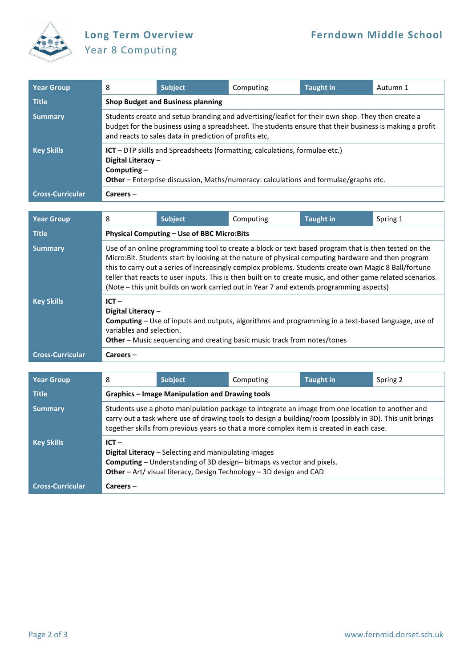

## Year 8 Computing

| <b>Year Group</b>       | 8                                                                                                                                                                                                                                                                      | <b>Subject</b>                           | Computing | <b>Taught in</b> | Autumn 1 |  |  |  |
|-------------------------|------------------------------------------------------------------------------------------------------------------------------------------------------------------------------------------------------------------------------------------------------------------------|------------------------------------------|-----------|------------------|----------|--|--|--|
| <b>Title</b>            |                                                                                                                                                                                                                                                                        | <b>Shop Budget and Business planning</b> |           |                  |          |  |  |  |
| <b>Summary</b>          | Students create and setup branding and advertising/leaflet for their own shop. They then create a<br>budget for the business using a spreadsheet. The students ensure that their business is making a profit<br>and reacts to sales data in prediction of profits etc, |                                          |           |                  |          |  |  |  |
| <b>Key Skills</b>       | $ICT - DTP$ skills and Spreadsheets (formatting, calculations, formulae etc.)<br>Digital Literacy -<br>Computing $-$<br>Other - Enterprise discussion, Maths/numeracy: calculations and formulae/graphs etc.                                                           |                                          |           |                  |          |  |  |  |
| <b>Cross-Curricular</b> | $Careers -$                                                                                                                                                                                                                                                            |                                          |           |                  |          |  |  |  |

| <b>Year Group</b>       | 8                                                                                                                                                                                                                                                                                                                                                                                                                                                                                                                             | Subject                                    | Computing | <b>Taught in</b> | Spring 1 |  |  |  |
|-------------------------|-------------------------------------------------------------------------------------------------------------------------------------------------------------------------------------------------------------------------------------------------------------------------------------------------------------------------------------------------------------------------------------------------------------------------------------------------------------------------------------------------------------------------------|--------------------------------------------|-----------|------------------|----------|--|--|--|
| <b>Title</b>            |                                                                                                                                                                                                                                                                                                                                                                                                                                                                                                                               | Physical Computing - Use of BBC Micro:Bits |           |                  |          |  |  |  |
| <b>Summary</b>          | Use of an online programming tool to create a block or text based program that is then tested on the<br>Micro:Bit. Students start by looking at the nature of physical computing hardware and then program<br>this to carry out a series of increasingly complex problems. Students create own Magic 8 Ball/fortune<br>teller that reacts to user inputs. This is then built on to create music, and other game related scenarios.<br>(Note - this unit builds on work carried out in Year 7 and extends programming aspects) |                                            |           |                  |          |  |  |  |
| <b>Key Skills</b>       | $ICT -$<br>Digital Literacy -<br><b>Computing</b> – Use of inputs and outputs, algorithms and programming in a text-based language, use of<br>variables and selection.<br>Other - Music sequencing and creating basic music track from notes/tones                                                                                                                                                                                                                                                                            |                                            |           |                  |          |  |  |  |
| <b>Cross-Curricular</b> | $Careers -$                                                                                                                                                                                                                                                                                                                                                                                                                                                                                                                   |                                            |           |                  |          |  |  |  |

| <b>Year Group</b>       | 8                                                                                                                                                                                                                                                                                                        | <b>Subject</b>                                  | Computing | <b>Taught in</b> | Spring 2 |  |  |
|-------------------------|----------------------------------------------------------------------------------------------------------------------------------------------------------------------------------------------------------------------------------------------------------------------------------------------------------|-------------------------------------------------|-----------|------------------|----------|--|--|
| <b>Title</b>            |                                                                                                                                                                                                                                                                                                          | Graphics – Image Manipulation and Drawing tools |           |                  |          |  |  |
| <b>Summary</b>          | Students use a photo manipulation package to integrate an image from one location to another and<br>carry out a task where use of drawing tools to design a building/room (possibly in 3D). This unit brings<br>together skills from previous years so that a more complex item is created in each case. |                                                 |           |                  |          |  |  |
| <b>Key Skills</b>       | $ICT -$<br><b>Digital Literacy</b> – Selecting and manipulating images<br><b>Computing</b> – Understanding of 3D design–bitmaps vs vector and pixels.<br>Other - Art/ visual literacy, Design Technology - 3D design and CAD                                                                             |                                                 |           |                  |          |  |  |
| <b>Cross-Curricular</b> | $Careers -$                                                                                                                                                                                                                                                                                              |                                                 |           |                  |          |  |  |